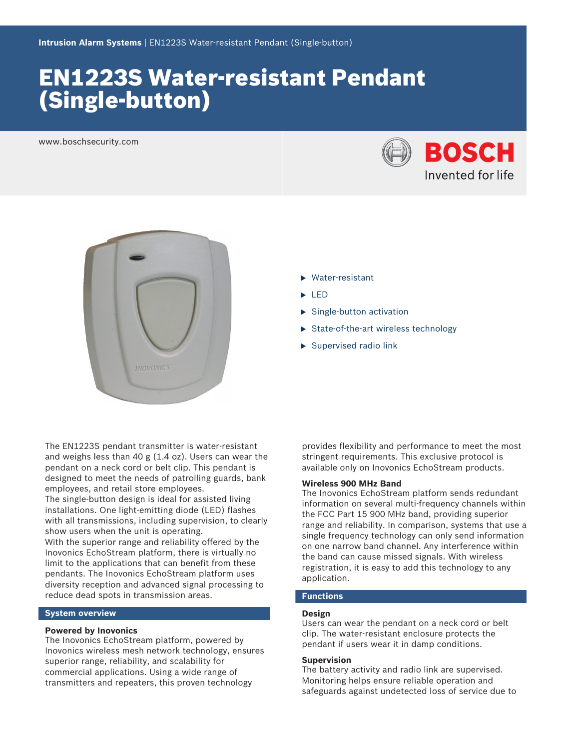# EN1223S Water‑resistant Pendant (Single‑button)

www.boschsecurity.com





- $\blacktriangleright$  Water-resistant
- $\blacktriangleright$  LED
- $\blacktriangleright$  Single-button activation
- $\triangleright$  State-of-the-art wireless technology
- $\blacktriangleright$  Supervised radio link

The EN1223S pendant transmitter is water-resistant and weighs less than 40 g (1.4 oz). Users can wear the pendant on a neck cord or belt clip. This pendant is designed to meet the needs of patrolling guards, bank employees, and retail store employees.

The single‑button design is ideal for assisted living installations. One light-emitting diode (LED) flashes with all transmissions, including supervision, to clearly show users when the unit is operating.

With the superior range and reliability offered by the Inovonics EchoStream platform, there is virtually no limit to the applications that can benefit from these pendants. The Inovonics EchoStream platform uses diversity reception and advanced signal processing to reduce dead spots in transmission areas.

# **System overview**

### **Powered by Inovonics**

The Inovonics EchoStream platform, powered by Inovonics wireless mesh network technology, ensures superior range, reliability, and scalability for commercial applications. Using a wide range of transmitters and repeaters, this proven technology

provides flexibility and performance to meet the most stringent requirements. This exclusive protocol is available only on Inovonics EchoStream products.

# **Wireless 900 MHz Band**

The Inovonics EchoStream platform sends redundant information on several multi-frequency channels within the FCC Part 15 900 MHz band, providing superior range and reliability. In comparison, systems that use a single frequency technology can only send information on one narrow band channel. Any interference within the band can cause missed signals. With wireless registration, it is easy to add this technology to any application.

# **Functions**

### **Design**

Users can wear the pendant on a neck cord or belt clip. The water‑resistant enclosure protects the pendant if users wear it in damp conditions.

# **Supervision**

The battery activity and radio link are supervised. Monitoring helps ensure reliable operation and safeguards against undetected loss of service due to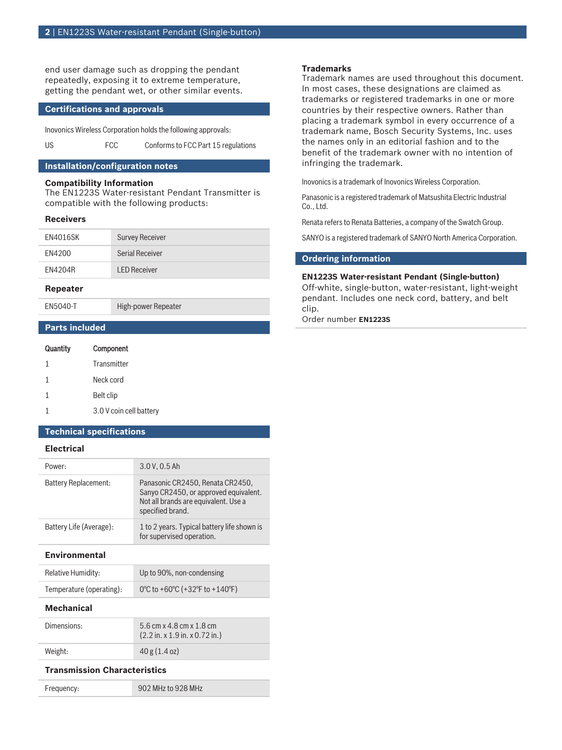end user damage such as dropping the pendant repeatedly, exposing it to extreme temperature, getting the pendant wet, or other similar events.

# **Certifications and approvals**

Inovonics Wireless Corporation holds the following approvals:

US FCC Conforms to FCC Part 15 regulations

# **Installation/configuration notes**

# **Compatibility Information**

The EN1223S Water‑resistant Pendant Transmitter is compatible with the following products:

#### **Receivers**

| EN4016SK | <b>Survey Receiver</b> |
|----------|------------------------|
| EN4200   | Serial Receiver        |
| FN4204R  | <b>LED Receiver</b>    |

#### **Repeater**

EN5040-T High-power Repeater

**Parts included**

| Quantity | Component               |
|----------|-------------------------|
| 1        | Transmitter             |
| 1        | Neck cord               |
| 1        | Belt clip               |
|          | 3.0 V coin cell battery |

### **Technical specifications**

# **Electrical**

| Power:                  | 3.0 V, 0.5 Ah                                                                                                                         |
|-------------------------|---------------------------------------------------------------------------------------------------------------------------------------|
| Battery Replacement:    | Panasonic CR2450, Renata CR2450,<br>Sanyo CR2450, or approved equivalent.<br>Not all brands are equivalent. Use a<br>specified brand. |
| Battery Life (Average): | 1 to 2 years. Typical battery life shown is<br>for supervised operation.                                                              |

# **Environmental**

| <b>Relative Humidity:</b> | Up to 90%, non-condensing      |
|---------------------------|--------------------------------|
| Temperature (operating):  | 0°C to +60°C (+32°F to +140°F) |

#### **Mechanical**

| Dimensions: | 5.6 cm x 4.8 cm x 1.8 cm<br>$(2.2 \text{ in. x } 1.9 \text{ in. x } 0.72 \text{ in.})$ |
|-------------|----------------------------------------------------------------------------------------|
| Weight:     | 40 g (1.4 oz)                                                                          |

### **Transmission Characteristics**

Frequency: 902 MHz to 928 MHz

# **Trademarks**

Trademark names are used throughout this document. In most cases, these designations are claimed as trademarks or registered trademarks in one or more countries by their respective owners. Rather than placing a trademark symbol in every occurrence of a trademark name, Bosch Security Systems, Inc. uses the names only in an editorial fashion and to the benefit of the trademark owner with no intention of infringing the trademark.

Inovonics is a trademark of Inovonics Wireless Corporation.

Panasonic is a registered trademark of Matsushita Electric Industrial Co., Ltd.

Renata refers to Renata Batteries, a company of the Swatch Group.

SANYO is a registered trademark of SANYO North America Corporation.

### **Ordering information**

#### **EN1223S Water‑resistant Pendant (Single‑button)**

Off-white, single-button, water-resistant, light-weight pendant. Includes one neck cord, battery, and belt clip.

Order number **EN1223S**